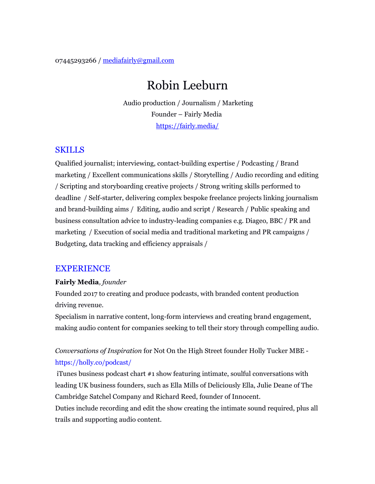07445293266 / mediafairly@gmail.com

# Robin Leeburn

 Audio production / Journalism / Marketing Founder – Fairly Media https://fairly.media/

### SKILLS

Qualified journalist; interviewing, contact-building expertise / Podcasting / Brand marketing / Excellent communications skills / Storytelling / Audio recording and editing / Scripting and storyboarding creative projects / Strong writing skills performed to deadline / Self-starter, delivering complex bespoke freelance projects linking journalism and brand-building aims / Editing, audio and script / Research / Public speaking and business consultation advice to industry-leading companies e.g. Diageo, BBC / PR and marketing / Execution of social media and traditional marketing and PR campaigns / Budgeting, data tracking and efficiency appraisals /

### EXPERIENCE

### **Fairly Media***, founder*

Founded 2017 to creating and produce podcasts, with branded content production driving revenue.

Specialism in narrative content, long-form interviews and creating brand engagement, making audio content for companies seeking to tell their story through compelling audio.

# *Conversations of Inspiration* for Not On the High Street founder Holly Tucker MBE https://holly.co/podcast/

 iTunes business podcast chart #1 show featuring intimate, soulful conversations with leading UK business founders, such as Ella Mills of Deliciously Ella, Julie Deane of The Cambridge Satchel Company and Richard Reed, founder of Innocent.

Duties include recording and edit the show creating the intimate sound required, plus all trails and supporting audio content.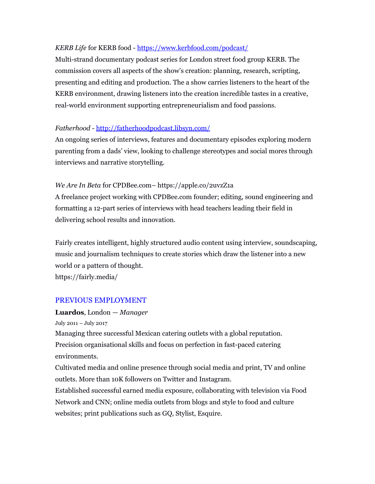### *KERB Life* for KERB food -<https://www.kerbfood.com/podcast/>

Multi-strand documentary podcast series for London street food group KERB. The commission covers all aspects of the show's creation: planning, research, scripting, presenting and editing and production. The a show carries listeners to the heart of the KERB environment, drawing listeners into the creation incredible tastes in a creative, real-world environment supporting entrepreneurialism and food passions.

### *Fatherhood* -<http://fatherhoodpodcast.libsyn.com/>

An ongoing series of interviews, features and documentary episodes exploring modern parenting from a dads' view, looking to challenge stereotypes and social mores through interviews and narrative storytelling.

### *We Are In Beta* for CPDBee.com– https://apple.co/2uvzZ1a

A freelance project working with CPDBee.com founder; editing, sound engineering and formatting a 12-part series of interviews with head teachers leading their field in delivering school results and innovation.

Fairly creates intelligent, highly structured audio content using interview, soundscaping, music and journalism techniques to create stories which draw the listener into a new world or a pattern of thought. https://fairly.media/

### PREVIOUS EMPLOYMENT

# **Luardos**, London — *Manager*

July 2011 – July 2017

Managing three successful Mexican catering outlets with a global reputation. Precision organisational skills and focus on perfection in fast-paced catering environments.

Cultivated media and online presence through social media and print, TV and online outlets. More than 10K followers on Twitter and Instagram.

Established successful earned media exposure, collaborating with television via Food Network and CNN; online media outlets from blogs and style to food and culture websites; print publications such as GQ, Stylist, Esquire.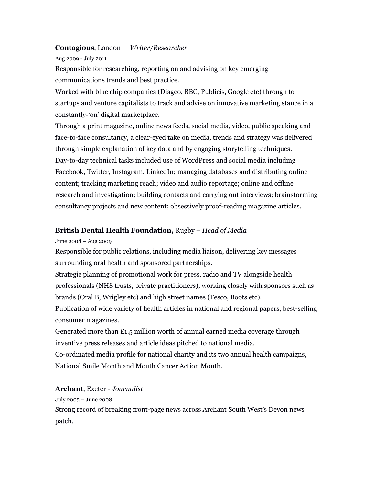#### **Contagious**, London — *Writer/Researcher*

Aug 2009 - July 2011

Responsible for researching, reporting on and advising on key emerging communications trends and best practice.

Worked with blue chip companies (Diageo, BBC, Publicis, Google etc) through to startups and venture capitalists to track and advise on innovative marketing stance in a constantly-'on' digital marketplace.

Through a print magazine, online news feeds, social media, video, public speaking and face-to-face consultancy, a clear-eyed take on media, trends and strategy was delivered through simple explanation of key data and by engaging storytelling techniques. Day-to-day technical tasks included use of WordPress and social media including Facebook, Twitter, Instagram, LinkedIn; managing databases and distributing online content; tracking marketing reach; video and audio reportage; online and offline research and investigation; building contacts and carrying out interviews; brainstorming consultancy projects and new content; obsessively proof-reading magazine articles.

#### **British Dental Health Foundation,** Rugby – *Head of Media*

June 2008 – Aug 2009

Responsible for public relations, including media liaison, delivering key messages surrounding oral health and sponsored partnerships.

Strategic planning of promotional work for press, radio and TV alongside health professionals (NHS trusts, private practitioners), working closely with sponsors such as brands (Oral B, Wrigley etc) and high street names (Tesco, Boots etc).

Publication of wide variety of health articles in national and regional papers, best-selling consumer magazines.

Generated more than  $£1.5$  million worth of annual earned media coverage through inventive press releases and article ideas pitched to national media.

Co-ordinated media profile for national charity and its two annual health campaigns, National Smile Month and Mouth Cancer Action Month.

#### **Archant**, Exeter - *Journalist*

July 2005 – June 2008

Strong record of breaking front-page news across Archant South West's Devon news patch.